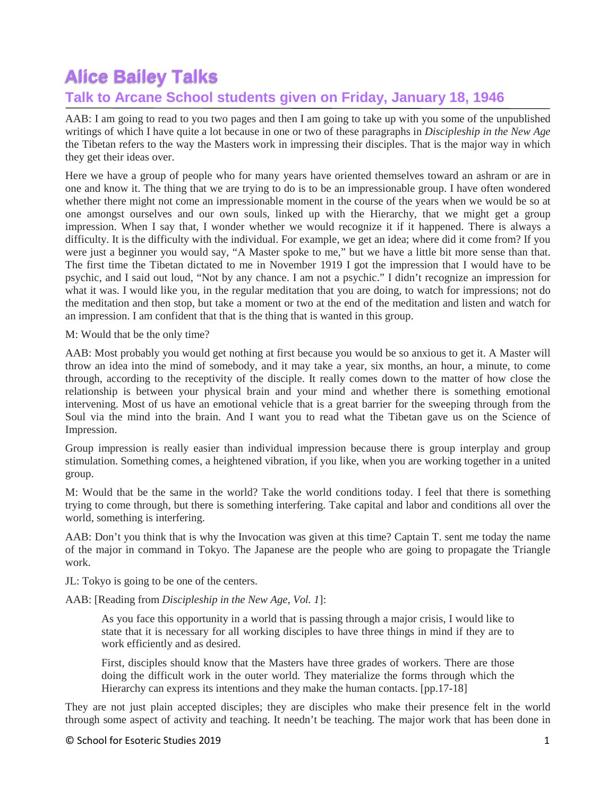## **Alice Bailey Talks**

## **Talk to Arcane School students given on Friday, January 18, 1946**

AAB: I am going to read to you two pages and then I am going to take up with you some of the unpublished writings of which I have quite a lot because in one or two of these paragraphs in *Discipleship in the New Age* the Tibetan refers to the way the Masters work in impressing their disciples. That is the major way in which they get their ideas over.

Here we have a group of people who for many years have oriented themselves toward an ashram or are in one and know it. The thing that we are trying to do is to be an impressionable group. I have often wondered whether there might not come an impressionable moment in the course of the years when we would be so at one amongst ourselves and our own souls, linked up with the Hierarchy, that we might get a group impression. When I say that, I wonder whether we would recognize it if it happened. There is always a difficulty. It is the difficulty with the individual. For example, we get an idea; where did it come from? If you were just a beginner you would say, "A Master spoke to me," but we have a little bit more sense than that. The first time the Tibetan dictated to me in November 1919 I got the impression that I would have to be psychic, and I said out loud, "Not by any chance. I am not a psychic." I didn't recognize an impression for what it was. I would like you, in the regular meditation that you are doing, to watch for impressions; not do the meditation and then stop, but take a moment or two at the end of the meditation and listen and watch for an impression. I am confident that that is the thing that is wanted in this group.

M: Would that be the only time?

AAB: Most probably you would get nothing at first because you would be so anxious to get it. A Master will throw an idea into the mind of somebody, and it may take a year, six months, an hour, a minute, to come through, according to the receptivity of the disciple. It really comes down to the matter of how close the relationship is between your physical brain and your mind and whether there is something emotional intervening. Most of us have an emotional vehicle that is a great barrier for the sweeping through from the Soul via the mind into the brain. And I want you to read what the Tibetan gave us on the Science of Impression.

Group impression is really easier than individual impression because there is group interplay and group stimulation. Something comes, a heightened vibration, if you like, when you are working together in a united group.

M: Would that be the same in the world? Take the world conditions today. I feel that there is something trying to come through, but there is something interfering. Take capital and labor and conditions all over the world, something is interfering.

AAB: Don't you think that is why the Invocation was given at this time? Captain T. sent me today the name of the major in command in Tokyo. The Japanese are the people who are going to propagate the Triangle work.

JL: Tokyo is going to be one of the centers.

AAB: [Reading from *Discipleship in the New Age, Vol. 1*]:

As you face this opportunity in a world that is passing through a major crisis, I would like to state that it is necessary for all working disciples to have three things in mind if they are to work efficiently and as desired.

First, disciples should know that the Masters have three grades of workers. There are those doing the difficult work in the outer world. They materialize the forms through which the Hierarchy can express its intentions and they make the human contacts. [pp.17-18]

They are not just plain accepted disciples; they are disciples who make their presence felt in the world through some aspect of activity and teaching. It needn't be teaching. The major work that has been done in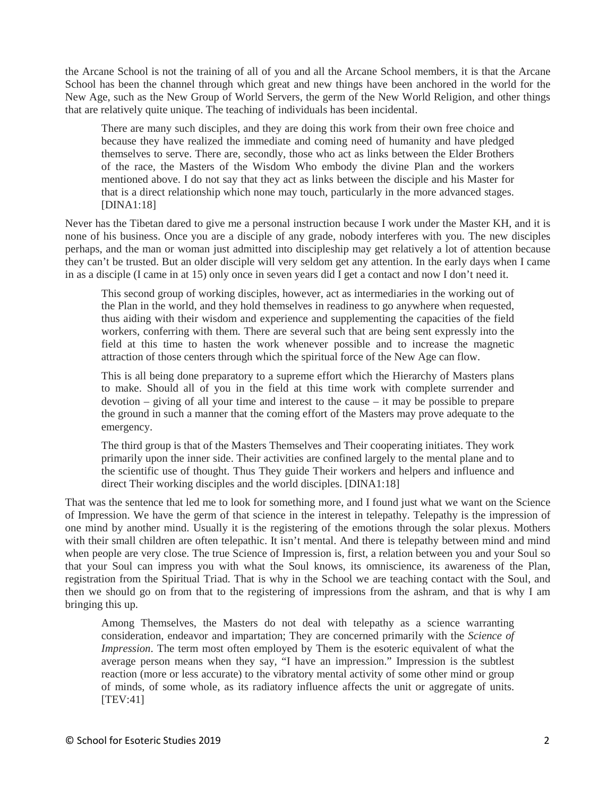the Arcane School is not the training of all of you and all the Arcane School members, it is that the Arcane School has been the channel through which great and new things have been anchored in the world for the New Age, such as the New Group of World Servers, the germ of the New World Religion, and other things that are relatively quite unique. The teaching of individuals has been incidental.

There are many such disciples, and they are doing this work from their own free choice and because they have realized the immediate and coming need of humanity and have pledged themselves to serve. There are, secondly, those who act as links between the Elder Brothers of the race, the Masters of the Wisdom Who embody the divine Plan and the workers mentioned above. I do not say that they act as links between the disciple and his Master for that is a direct relationship which none may touch, particularly in the more advanced stages. [DINA1:18]

Never has the Tibetan dared to give me a personal instruction because I work under the Master KH, and it is none of his business. Once you are a disciple of any grade, nobody interferes with you. The new disciples perhaps, and the man or woman just admitted into discipleship may get relatively a lot of attention because they can't be trusted. But an older disciple will very seldom get any attention. In the early days when I came in as a disciple (I came in at 15) only once in seven years did I get a contact and now I don't need it.

This second group of working disciples, however, act as intermediaries in the working out of the Plan in the world, and they hold themselves in readiness to go anywhere when requested, thus aiding with their wisdom and experience and supplementing the capacities of the field workers, conferring with them. There are several such that are being sent expressly into the field at this time to hasten the work whenever possible and to increase the magnetic attraction of those centers through which the spiritual force of the New Age can flow.

This is all being done preparatory to a supreme effort which the Hierarchy of Masters plans to make. Should all of you in the field at this time work with complete surrender and devotion – giving of all your time and interest to the cause – it may be possible to prepare the ground in such a manner that the coming effort of the Masters may prove adequate to the emergency.

The third group is that of the Masters Themselves and Their cooperating initiates. They work primarily upon the inner side. Their activities are confined largely to the mental plane and to the scientific use of thought. Thus They guide Their workers and helpers and influence and direct Their working disciples and the world disciples. [DINA1:18]

That was the sentence that led me to look for something more, and I found just what we want on the Science of Impression. We have the germ of that science in the interest in telepathy. Telepathy is the impression of one mind by another mind. Usually it is the registering of the emotions through the solar plexus. Mothers with their small children are often telepathic. It isn't mental. And there is telepathy between mind and mind when people are very close. The true Science of Impression is, first, a relation between you and your Soul so that your Soul can impress you with what the Soul knows, its omniscience, its awareness of the Plan, registration from the Spiritual Triad. That is why in the School we are teaching contact with the Soul, and then we should go on from that to the registering of impressions from the ashram, and that is why I am bringing this up.

Among Themselves, the Masters do not deal with telepathy as a science warranting consideration, endeavor and impartation; They are concerned primarily with the *Science of Impression*. The term most often employed by Them is the esoteric equivalent of what the average person means when they say, "I have an impression." Impression is the subtlest reaction (more or less accurate) to the vibratory mental activity of some other mind or group of minds, of some whole, as its radiatory influence affects the unit or aggregate of units. [TEV:41]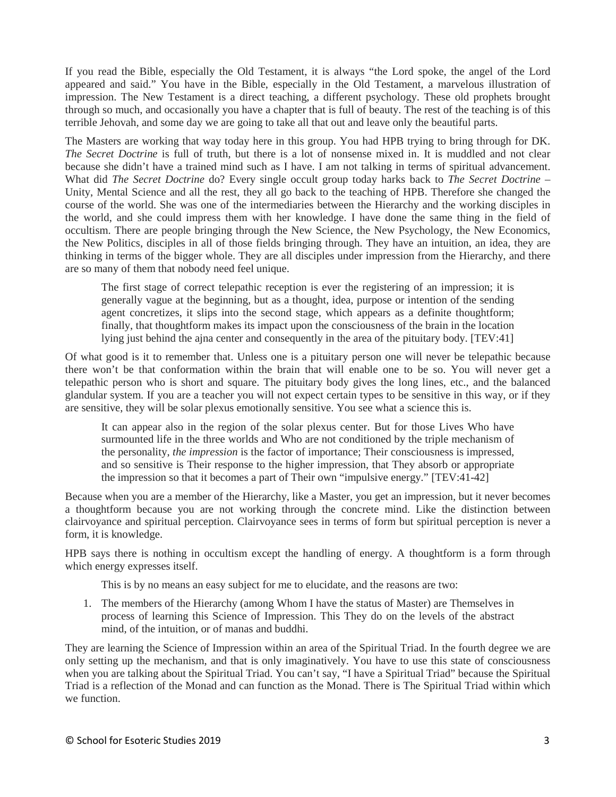If you read the Bible, especially the Old Testament, it is always "the Lord spoke, the angel of the Lord appeared and said." You have in the Bible, especially in the Old Testament, a marvelous illustration of impression. The New Testament is a direct teaching, a different psychology. These old prophets brought through so much, and occasionally you have a chapter that is full of beauty. The rest of the teaching is of this terrible Jehovah, and some day we are going to take all that out and leave only the beautiful parts.

The Masters are working that way today here in this group. You had HPB trying to bring through for DK. *The Secret Doctrine* is full of truth, but there is a lot of nonsense mixed in. It is muddled and not clear because she didn't have a trained mind such as I have. I am not talking in terms of spiritual advancement. What did *The Secret Doctrine* do? Every single occult group today harks back to *The Secret Doctrine* – Unity, Mental Science and all the rest, they all go back to the teaching of HPB. Therefore she changed the course of the world. She was one of the intermediaries between the Hierarchy and the working disciples in the world, and she could impress them with her knowledge. I have done the same thing in the field of occultism. There are people bringing through the New Science, the New Psychology, the New Economics, the New Politics, disciples in all of those fields bringing through. They have an intuition, an idea, they are thinking in terms of the bigger whole. They are all disciples under impression from the Hierarchy, and there are so many of them that nobody need feel unique.

The first stage of correct telepathic reception is ever the registering of an impression; it is generally vague at the beginning, but as a thought, idea, purpose or intention of the sending agent concretizes, it slips into the second stage, which appears as a definite thoughtform; finally, that thoughtform makes its impact upon the consciousness of the brain in the location lying just behind the ajna center and consequently in the area of the pituitary body. [TEV:41]

Of what good is it to remember that. Unless one is a pituitary person one will never be telepathic because there won't be that conformation within the brain that will enable one to be so. You will never get a telepathic person who is short and square. The pituitary body gives the long lines, etc., and the balanced glandular system. If you are a teacher you will not expect certain types to be sensitive in this way, or if they are sensitive, they will be solar plexus emotionally sensitive. You see what a science this is.

It can appear also in the region of the solar plexus center. But for those Lives Who have surmounted life in the three worlds and Who are not conditioned by the triple mechanism of the personality, *the impression* is the factor of importance; Their consciousness is impressed, and so sensitive is Their response to the higher impression, that They absorb or appropriate the impression so that it becomes a part of Their own "impulsive energy." [TEV:41-42]

Because when you are a member of the Hierarchy, like a Master, you get an impression, but it never becomes a thoughtform because you are not working through the concrete mind. Like the distinction between clairvoyance and spiritual perception. Clairvoyance sees in terms of form but spiritual perception is never a form, it is knowledge.

HPB says there is nothing in occultism except the handling of energy. A thoughtform is a form through which energy expresses itself.

This is by no means an easy subject for me to elucidate, and the reasons are two:

1. The members of the Hierarchy (among Whom I have the status of Master) are Themselves in process of learning this Science of Impression. This They do on the levels of the abstract mind, of the intuition, or of manas and buddhi.

They are learning the Science of Impression within an area of the Spiritual Triad. In the fourth degree we are only setting up the mechanism, and that is only imaginatively. You have to use this state of consciousness when you are talking about the Spiritual Triad. You can't say, "I have a Spiritual Triad" because the Spiritual Triad is a reflection of the Monad and can function as the Monad. There is The Spiritual Triad within which we function.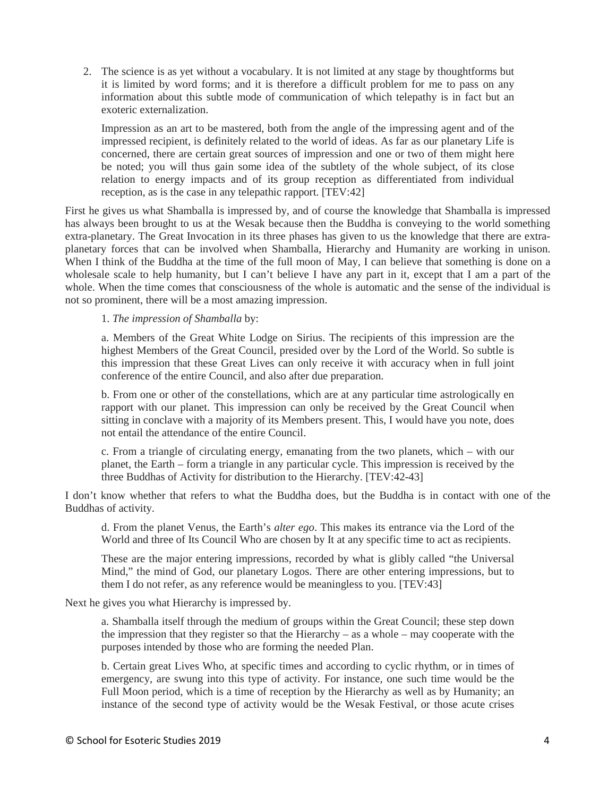2. The science is as yet without a vocabulary. It is not limited at any stage by thoughtforms but it is limited by word forms; and it is therefore a difficult problem for me to pass on any information about this subtle mode of communication of which telepathy is in fact but an exoteric externalization.

Impression as an art to be mastered, both from the angle of the impressing agent and of the impressed recipient, is definitely related to the world of ideas. As far as our planetary Life is concerned, there are certain great sources of impression and one or two of them might here be noted; you will thus gain some idea of the subtlety of the whole subject, of its close relation to energy impacts and of its group reception as differentiated from individual reception, as is the case in any telepathic rapport. [TEV:42]

First he gives us what Shamballa is impressed by, and of course the knowledge that Shamballa is impressed has always been brought to us at the Wesak because then the Buddha is conveying to the world something extra-planetary. The Great Invocation in its three phases has given to us the knowledge that there are extraplanetary forces that can be involved when Shamballa, Hierarchy and Humanity are working in unison. When I think of the Buddha at the time of the full moon of May, I can believe that something is done on a wholesale scale to help humanity, but I can't believe I have any part in it, except that I am a part of the whole. When the time comes that consciousness of the whole is automatic and the sense of the individual is not so prominent, there will be a most amazing impression.

1. *The impression of Shamballa* by:

a. Members of the Great White Lodge on Sirius. The recipients of this impression are the highest Members of the Great Council, presided over by the Lord of the World. So subtle is this impression that these Great Lives can only receive it with accuracy when in full joint conference of the entire Council, and also after due preparation.

b. From one or other of the constellations, which are at any particular time astrologically en rapport with our planet. This impression can only be received by the Great Council when sitting in conclave with a majority of its Members present. This, I would have you note, does not entail the attendance of the entire Council.

c. From a triangle of circulating energy, emanating from the two planets, which – with our planet, the Earth – form a triangle in any particular cycle. This impression is received by the three Buddhas of Activity for distribution to the Hierarchy. [TEV:42-43]

I don't know whether that refers to what the Buddha does, but the Buddha is in contact with one of the Buddhas of activity.

d. From the planet Venus, the Earth's *alter ego*. This makes its entrance via the Lord of the World and three of Its Council Who are chosen by It at any specific time to act as recipients.

These are the major entering impressions, recorded by what is glibly called "the Universal Mind," the mind of God, our planetary Logos. There are other entering impressions, but to them I do not refer, as any reference would be meaningless to you. [TEV:43]

Next he gives you what Hierarchy is impressed by.

a. Shamballa itself through the medium of groups within the Great Council; these step down the impression that they register so that the Hierarchy – as a whole – may cooperate with the purposes intended by those who are forming the needed Plan.

b. Certain great Lives Who, at specific times and according to cyclic rhythm, or in times of emergency, are swung into this type of activity. For instance, one such time would be the Full Moon period, which is a time of reception by the Hierarchy as well as by Humanity; an instance of the second type of activity would be the Wesak Festival, or those acute crises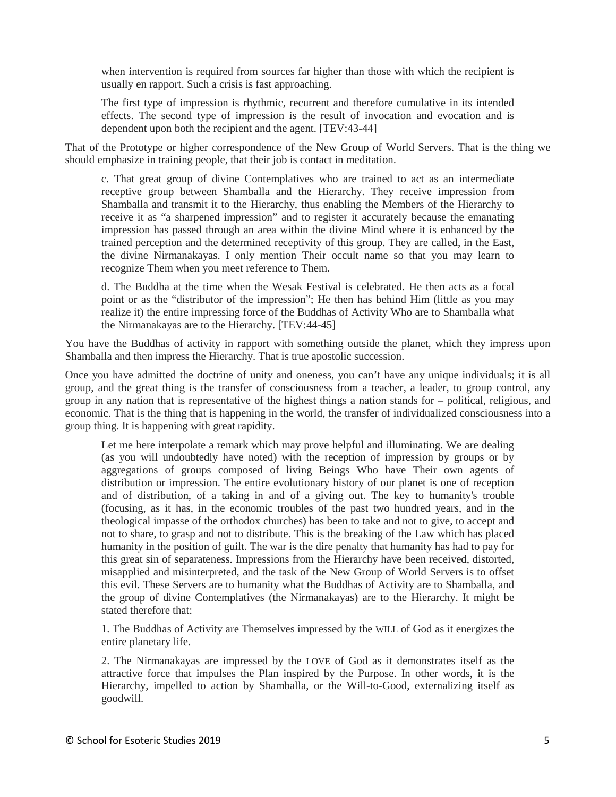when intervention is required from sources far higher than those with which the recipient is usually en rapport. Such a crisis is fast approaching.

The first type of impression is rhythmic, recurrent and therefore cumulative in its intended effects. The second type of impression is the result of invocation and evocation and is dependent upon both the recipient and the agent. [TEV:43-44]

That of the Prototype or higher correspondence of the New Group of World Servers. That is the thing we should emphasize in training people, that their job is contact in meditation.

c. That great group of divine Contemplatives who are trained to act as an intermediate receptive group between Shamballa and the Hierarchy. They receive impression from Shamballa and transmit it to the Hierarchy, thus enabling the Members of the Hierarchy to receive it as "a sharpened impression" and to register it accurately because the emanating impression has passed through an area within the divine Mind where it is enhanced by the trained perception and the determined receptivity of this group. They are called, in the East, the divine Nirmanakayas. I only mention Their occult name so that you may learn to recognize Them when you meet reference to Them.

d. The Buddha at the time when the Wesak Festival is celebrated. He then acts as a focal point or as the "distributor of the impression"; He then has behind Him (little as you may realize it) the entire impressing force of the Buddhas of Activity Who are to Shamballa what the Nirmanakayas are to the Hierarchy. [TEV:44-45]

You have the Buddhas of activity in rapport with something outside the planet, which they impress upon Shamballa and then impress the Hierarchy. That is true apostolic succession.

Once you have admitted the doctrine of unity and oneness, you can't have any unique individuals; it is all group, and the great thing is the transfer of consciousness from a teacher, a leader, to group control, any group in any nation that is representative of the highest things a nation stands for – political, religious, and economic. That is the thing that is happening in the world, the transfer of individualized consciousness into a group thing. It is happening with great rapidity.

Let me here interpolate a remark which may prove helpful and illuminating. We are dealing (as you will undoubtedly have noted) with the reception of impression by groups or by aggregations of groups composed of living Beings Who have Their own agents of distribution or impression. The entire evolutionary history of our planet is one of reception and of distribution, of a taking in and of a giving out. The key to humanity's trouble (focusing, as it has, in the economic troubles of the past two hundred years, and in the theological impasse of the orthodox churches) has been to take and not to give, to accept and not to share, to grasp and not to distribute. This is the breaking of the Law which has placed humanity in the position of guilt. The war is the dire penalty that humanity has had to pay for this great sin of separateness. Impressions from the Hierarchy have been received, distorted, misapplied and misinterpreted, and the task of the New Group of World Servers is to offset this evil. These Servers are to humanity what the Buddhas of Activity are to Shamballa, and the group of divine Contemplatives (the Nirmanakayas) are to the Hierarchy. It might be stated therefore that:

1. The Buddhas of Activity are Themselves impressed by the WILL of God as it energizes the entire planetary life.

2. The Nirmanakayas are impressed by the LOVE of God as it demonstrates itself as the attractive force that impulses the Plan inspired by the Purpose. In other words, it is the Hierarchy, impelled to action by Shamballa, or the Will-to-Good, externalizing itself as goodwill.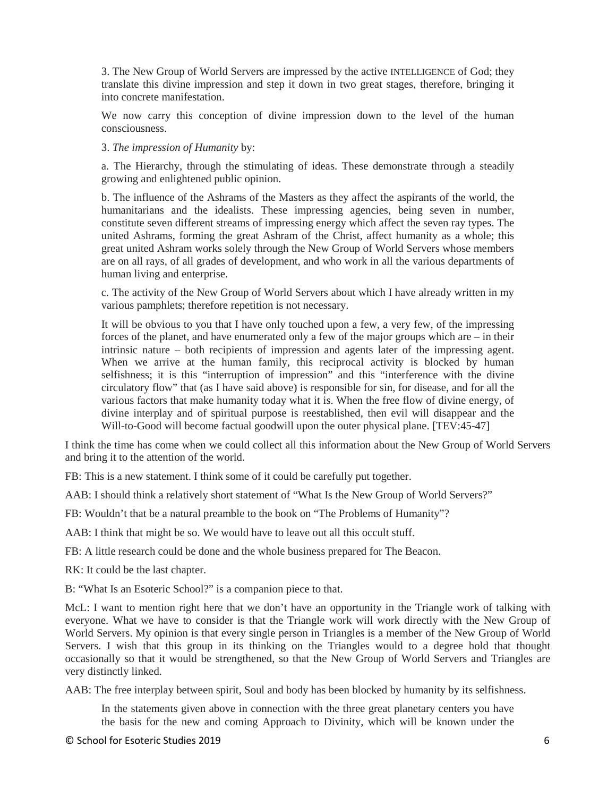3. The New Group of World Servers are impressed by the active INTELLIGENCE of God; they translate this divine impression and step it down in two great stages, therefore, bringing it into concrete manifestation.

We now carry this conception of divine impression down to the level of the human consciousness.

## 3. *The impression of Humanity* by:

a. The Hierarchy, through the stimulating of ideas. These demonstrate through a steadily growing and enlightened public opinion.

b. The influence of the Ashrams of the Masters as they affect the aspirants of the world, the humanitarians and the idealists. These impressing agencies, being seven in number, constitute seven different streams of impressing energy which affect the seven ray types. The united Ashrams, forming the great Ashram of the Christ, affect humanity as a whole; this great united Ashram works solely through the New Group of World Servers whose members are on all rays, of all grades of development, and who work in all the various departments of human living and enterprise.

c. The activity of the New Group of World Servers about which I have already written in my various pamphlets; therefore repetition is not necessary.

It will be obvious to you that I have only touched upon a few, a very few, of the impressing forces of the planet, and have enumerated only a few of the major groups which are – in their intrinsic nature – both recipients of impression and agents later of the impressing agent. When we arrive at the human family, this reciprocal activity is blocked by human selfishness; it is this "interruption of impression" and this "interference with the divine circulatory flow" that (as I have said above) is responsible for sin, for disease, and for all the various factors that make humanity today what it is. When the free flow of divine energy, of divine interplay and of spiritual purpose is reestablished, then evil will disappear and the Will-to-Good will become factual goodwill upon the outer physical plane. [TEV:45-47]

I think the time has come when we could collect all this information about the New Group of World Servers and bring it to the attention of the world.

FB: This is a new statement. I think some of it could be carefully put together.

AAB: I should think a relatively short statement of "What Is the New Group of World Servers?"

FB: Wouldn't that be a natural preamble to the book on "The Problems of Humanity"?

AAB: I think that might be so. We would have to leave out all this occult stuff.

FB: A little research could be done and the whole business prepared for The Beacon.

RK: It could be the last chapter.

B: "What Is an Esoteric School?" is a companion piece to that.

McL: I want to mention right here that we don't have an opportunity in the Triangle work of talking with everyone. What we have to consider is that the Triangle work will work directly with the New Group of World Servers. My opinion is that every single person in Triangles is a member of the New Group of World Servers. I wish that this group in its thinking on the Triangles would to a degree hold that thought occasionally so that it would be strengthened, so that the New Group of World Servers and Triangles are very distinctly linked.

AAB: The free interplay between spirit, Soul and body has been blocked by humanity by its selfishness.

In the statements given above in connection with the three great planetary centers you have the basis for the new and coming Approach to Divinity, which will be known under the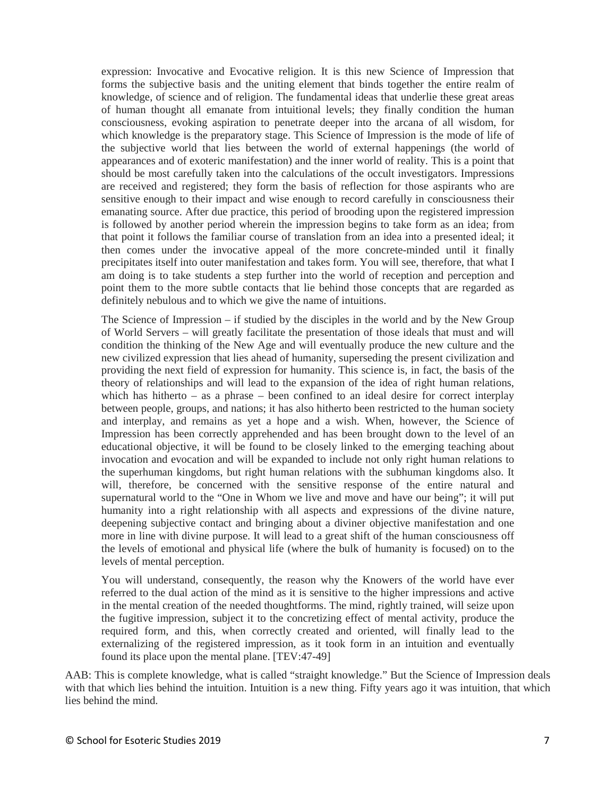expression: Invocative and Evocative religion. It is this new Science of Impression that forms the subjective basis and the uniting element that binds together the entire realm of knowledge, of science and of religion. The fundamental ideas that underlie these great areas of human thought all emanate from intuitional levels; they finally condition the human consciousness, evoking aspiration to penetrate deeper into the arcana of all wisdom, for which knowledge is the preparatory stage. This Science of Impression is the mode of life of the subjective world that lies between the world of external happenings (the world of appearances and of exoteric manifestation) and the inner world of reality. This is a point that should be most carefully taken into the calculations of the occult investigators. Impressions are received and registered; they form the basis of reflection for those aspirants who are sensitive enough to their impact and wise enough to record carefully in consciousness their emanating source. After due practice, this period of brooding upon the registered impression is followed by another period wherein the impression begins to take form as an idea; from that point it follows the familiar course of translation from an idea into a presented ideal; it then comes under the invocative appeal of the more concrete-minded until it finally precipitates itself into outer manifestation and takes form. You will see, therefore, that what I am doing is to take students a step further into the world of reception and perception and point them to the more subtle contacts that lie behind those concepts that are regarded as definitely nebulous and to which we give the name of intuitions.

The Science of Impression – if studied by the disciples in the world and by the New Group of World Servers – will greatly facilitate the presentation of those ideals that must and will condition the thinking of the New Age and will eventually produce the new culture and the new civilized expression that lies ahead of humanity, superseding the present civilization and providing the next field of expression for humanity. This science is, in fact, the basis of the theory of relationships and will lead to the expansion of the idea of right human relations, which has hitherto – as a phrase – been confined to an ideal desire for correct interplay between people, groups, and nations; it has also hitherto been restricted to the human society and interplay, and remains as yet a hope and a wish. When, however, the Science of Impression has been correctly apprehended and has been brought down to the level of an educational objective, it will be found to be closely linked to the emerging teaching about invocation and evocation and will be expanded to include not only right human relations to the superhuman kingdoms, but right human relations with the subhuman kingdoms also. It will, therefore, be concerned with the sensitive response of the entire natural and supernatural world to the "One in Whom we live and move and have our being"; it will put humanity into a right relationship with all aspects and expressions of the divine nature, deepening subjective contact and bringing about a diviner objective manifestation and one more in line with divine purpose. It will lead to a great shift of the human consciousness off the levels of emotional and physical life (where the bulk of humanity is focused) on to the levels of mental perception.

You will understand, consequently, the reason why the Knowers of the world have ever referred to the dual action of the mind as it is sensitive to the higher impressions and active in the mental creation of the needed thoughtforms. The mind, rightly trained, will seize upon the fugitive impression, subject it to the concretizing effect of mental activity, produce the required form, and this, when correctly created and oriented, will finally lead to the externalizing of the registered impression, as it took form in an intuition and eventually found its place upon the mental plane. [TEV:47-49]

AAB: This is complete knowledge, what is called "straight knowledge." But the Science of Impression deals with that which lies behind the intuition. Intuition is a new thing. Fifty years ago it was intuition, that which lies behind the mind.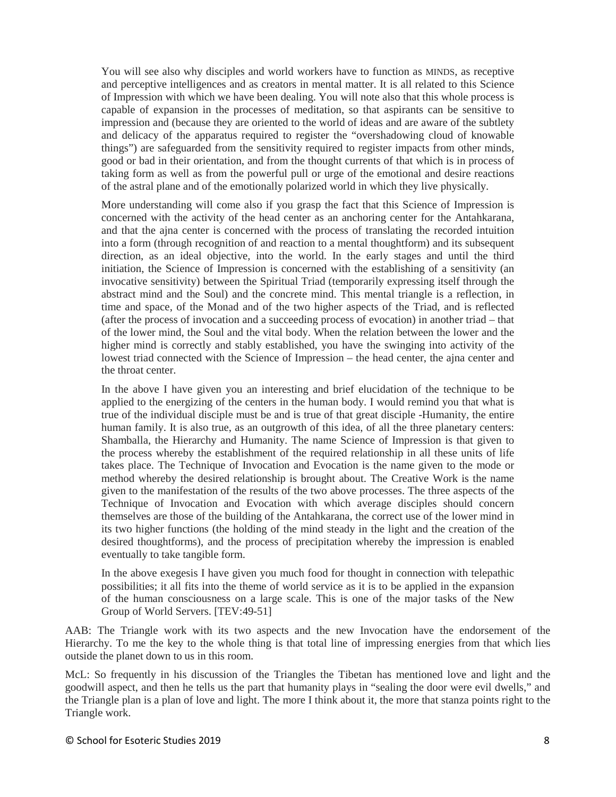You will see also why disciples and world workers have to function as MINDS, as receptive and perceptive intelligences and as creators in mental matter. It is all related to this Science of Impression with which we have been dealing. You will note also that this whole process is capable of expansion in the processes of meditation, so that aspirants can be sensitive to impression and (because they are oriented to the world of ideas and are aware of the subtlety and delicacy of the apparatus required to register the "overshadowing cloud of knowable things") are safeguarded from the sensitivity required to register impacts from other minds, good or bad in their orientation, and from the thought currents of that which is in process of taking form as well as from the powerful pull or urge of the emotional and desire reactions of the astral plane and of the emotionally polarized world in which they live physically.

More understanding will come also if you grasp the fact that this Science of Impression is concerned with the activity of the head center as an anchoring center for the Antahkarana, and that the ajna center is concerned with the process of translating the recorded intuition into a form (through recognition of and reaction to a mental thoughtform) and its subsequent direction, as an ideal objective, into the world. In the early stages and until the third initiation, the Science of Impression is concerned with the establishing of a sensitivity (an invocative sensitivity) between the Spiritual Triad (temporarily expressing itself through the abstract mind and the Soul) and the concrete mind. This mental triangle is a reflection, in time and space, of the Monad and of the two higher aspects of the Triad, and is reflected (after the process of invocation and a succeeding process of evocation) in another triad – that of the lower mind, the Soul and the vital body. When the relation between the lower and the higher mind is correctly and stably established, you have the swinging into activity of the lowest triad connected with the Science of Impression – the head center, the ajna center and the throat center.

In the above I have given you an interesting and brief elucidation of the technique to be applied to the energizing of the centers in the human body. I would remind you that what is true of the individual disciple must be and is true of that great disciple -Humanity, the entire human family. It is also true, as an outgrowth of this idea, of all the three planetary centers: Shamballa, the Hierarchy and Humanity. The name Science of Impression is that given to the process whereby the establishment of the required relationship in all these units of life takes place. The Technique of Invocation and Evocation is the name given to the mode or method whereby the desired relationship is brought about. The Creative Work is the name given to the manifestation of the results of the two above processes. The three aspects of the Technique of Invocation and Evocation with which average disciples should concern themselves are those of the building of the Antahkarana, the correct use of the lower mind in its two higher functions (the holding of the mind steady in the light and the creation of the desired thoughtforms), and the process of precipitation whereby the impression is enabled eventually to take tangible form.

In the above exegesis I have given you much food for thought in connection with telepathic possibilities; it all fits into the theme of world service as it is to be applied in the expansion of the human consciousness on a large scale. This is one of the major tasks of the New Group of World Servers. [TEV:49-51]

AAB: The Triangle work with its two aspects and the new Invocation have the endorsement of the Hierarchy. To me the key to the whole thing is that total line of impressing energies from that which lies outside the planet down to us in this room.

McL: So frequently in his discussion of the Triangles the Tibetan has mentioned love and light and the goodwill aspect, and then he tells us the part that humanity plays in "sealing the door were evil dwells," and the Triangle plan is a plan of love and light. The more I think about it, the more that stanza points right to the Triangle work.